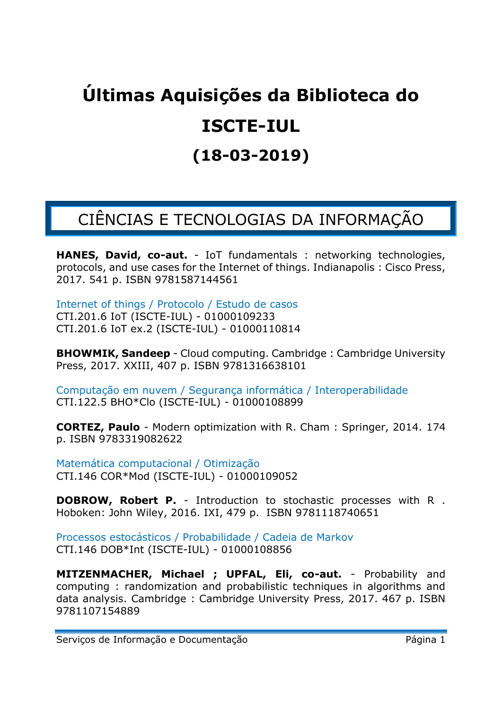# **Últimas Aquisições da Biblioteca do ISCTE-IUL (18-03-2019)**

## CIÊNCIAS E TECNOLOGIAS DA INFORMAÇÃO

**HANES, David, co-aut.** - IoT fundamentals : networking technologies, protocols, and use cases for the Internet of things. Indianapolis : Cisco Press, 2017. 541 p. ISBN 9781587144561

Internet of things / Protocolo / Estudo de casos CTI.201.6 IoT (ISCTE-IUL) - 01000109233 CTI.201.6 IoT ex.2 (ISCTE-IUL) - 01000110814

**BHOWMIK, Sandeep** - Cloud computing. Cambridge : Cambridge University Press, 2017. XXIII, 407 p. ISBN 9781316638101

Computação em nuvem / Segurança informática / Interoperabilidade CTI.122.5 BHO\*Clo (ISCTE-IUL) - 01000108899

**CORTEZ, Paulo** - Modern optimization with R. Cham : Springer, 2014. 174 p. ISBN 9783319082622

Matemática computacional / Otimização CTI.146 COR\*Mod (ISCTE-IUL) - 01000109052

**DOBROW, Robert P.** - Introduction to stochastic processes with R . Hoboken: John Wiley, 2016. IXI, 479 p. ISBN 9781118740651

Processos estocásticos / Probabilidade / Cadeia de Markov CTI.146 DOB\*Int (ISCTE-IUL) - 01000108856

**MITZENMACHER, Michael ; UPFAL, Eli, co-aut.** - Probability and computing : randomization and probabilistic techniques in algorithms and data analysis. Cambridge : Cambridge University Press, 2017. 467 p. ISBN 9781107154889

Serviços de Informação e Documentação **Entrarrol** Página 1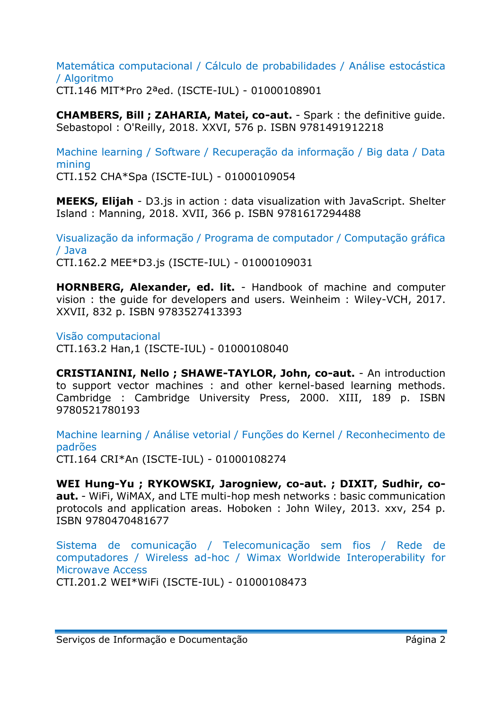#### Matemática computacional / Cálculo de probabilidades / Análise estocástica / Algoritmo CTI.146 MIT\*Pro 2ªed. (ISCTE-IUL) - 01000108901

**CHAMBERS, Bill ; ZAHARIA, Matei, co-aut.** - Spark : the definitive guide. Sebastopol : O'Reilly, 2018. XXVI, 576 p. ISBN 9781491912218

Machine learning / Software / Recuperação da informação / Big data / Data mining CTI.152 CHA\*Spa (ISCTE-IUL) - 01000109054

**MEEKS, Elijah** - D3.js in action : data visualization with JavaScript. Shelter Island : Manning, 2018. XVII, 366 p. ISBN 9781617294488

Visualização da informação / Programa de computador / Computação gráfica / Java CTI.162.2 MEE\*D3.js (ISCTE-IUL) - 01000109031

**HORNBERG, Alexander, ed. lit.** - Handbook of machine and computer vision : the guide for developers and users. Weinheim : Wiley-VCH, 2017. XXVII, 832 p. ISBN 9783527413393

Visão computacional CTI.163.2 Han,1 (ISCTE-IUL) - 01000108040

**CRISTIANINI, Nello ; SHAWE-TAYLOR, John, co-aut.** - An introduction to support vector machines : and other kernel-based learning methods. Cambridge : Cambridge University Press, 2000. XIII, 189 p. ISBN 9780521780193

Machine learning / Análise vetorial / Funções do Kernel / Reconhecimento de padrões CTI.164 CRI\*An (ISCTE-IUL) - 01000108274

**WEI Hung-Yu ; RYKOWSKI, Jarogniew, co-aut. ; DIXIT, Sudhir, coaut.** - WiFi, WiMAX, and LTE multi-hop mesh networks : basic communication protocols and application areas. Hoboken : John Wiley, 2013. xxv, 254 p. ISBN 9780470481677

Sistema de comunicação / Telecomunicação sem fios / Rede de computadores / Wireless ad-hoc / Wimax Worldwide Interoperability for Microwave Access

CTI.201.2 WEI\*WiFi (ISCTE-IUL) - 01000108473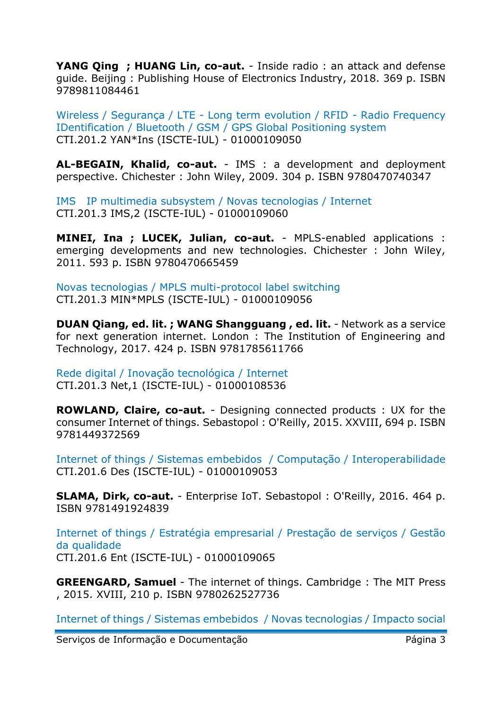**YANG Qing ; HUANG Lin, co-aut.** - Inside radio : an attack and defense guide. Beijing : Publishing House of Electronics Industry, 2018. 369 p. ISBN 9789811084461

Wireless / Segurança / LTE - Long term evolution / RFID - Radio Frequency IDentification / Bluetooth / GSM / GPS Global Positioning system CTI.201.2 YAN\*Ins (ISCTE-IUL) - 01000109050

**AL-BEGAIN, Khalid, co-aut.** - IMS : a development and deployment perspective. Chichester : John Wiley, 2009. 304 p. ISBN 9780470740347

IMS IP multimedia subsystem / Novas tecnologias / Internet CTI.201.3 IMS,2 (ISCTE-IUL) - 01000109060

**MINEI, Ina ; LUCEK, Julian, co-aut.** - MPLS-enabled applications : emerging developments and new technologies. Chichester : John Wiley, 2011. 593 p. ISBN 9780470665459

Novas tecnologias / MPLS multi-protocol label switching CTI.201.3 MIN\*MPLS (ISCTE-IUL) - 01000109056

**DUAN Qiang, ed. lit. ; WANG Shangguang , ed. lit.** - Network as a service for next generation internet. London : The Institution of Engineering and Technology, 2017. 424 p. ISBN 9781785611766

Rede digital / Inovação tecnológica / Internet CTI.201.3 Net,1 (ISCTE-IUL) - 01000108536

**ROWLAND, Claire, co-aut.** - Designing connected products : UX for the consumer Internet of things. Sebastopol : O'Reilly, 2015. XXVIII, 694 p. ISBN 9781449372569

Internet of things / Sistemas embebidos / Computação / Interoperabilidade CTI.201.6 Des (ISCTE-IUL) - 01000109053

**SLAMA, Dirk, co-aut.** - Enterprise IoT. Sebastopol : O'Reilly, 2016. 464 p. ISBN 9781491924839

Internet of things / Estratégia empresarial / Prestação de serviços / Gestão da qualidade CTI.201.6 Ent (ISCTE-IUL) - 01000109065

**GREENGARD, Samuel** - The internet of things. Cambridge : The MIT Press , 2015. XVIII, 210 p. ISBN 9780262527736

Internet of things / Sistemas embebidos / Novas tecnologias / Impacto social

Serviços de Informação e Documentação **Exercición e Serviços de Informação** Página 3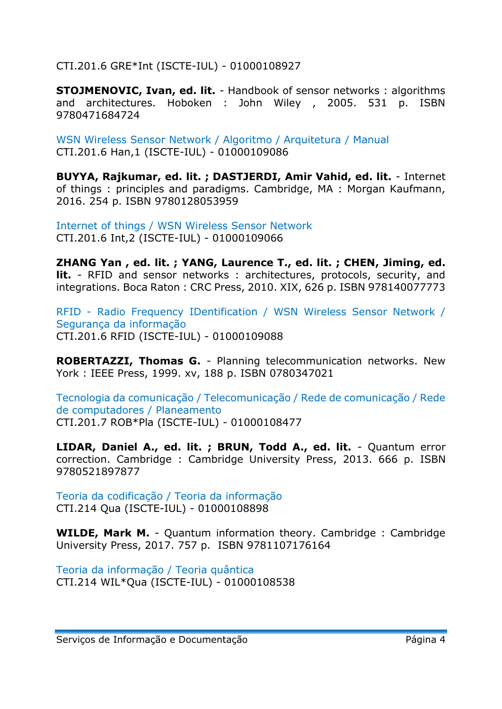CTI.201.6 GRE\*Int (ISCTE-IUL) - 01000108927

**STOJMENOVIC, Ivan, ed. lit.** - Handbook of sensor networks : algorithms and architectures. Hoboken : John Wiley , 2005. 531 p. ISBN 9780471684724

WSN Wireless Sensor Network / Algoritmo / Arquitetura / Manual CTI.201.6 Han,1 (ISCTE-IUL) - 01000109086

**BUYYA, Rajkumar, ed. lit. ; DASTJERDI, Amir Vahid, ed. lit.** - Internet of things : principles and paradigms. Cambridge, MA : Morgan Kaufmann, 2016. 254 p. ISBN 9780128053959

Internet of things / WSN Wireless Sensor Network CTI.201.6 Int,2 (ISCTE-IUL) - 01000109066

**ZHANG Yan , ed. lit. ; YANG, Laurence T., ed. lit. ; CHEN, Jiming, ed. lit.** - RFID and sensor networks : architectures, protocols, security, and integrations. Boca Raton : CRC Press, 2010. XIX, 626 p. ISBN 978140077773

RFID - Radio Frequency IDentification / WSN Wireless Sensor Network / Segurança da informação CTI.201.6 RFID (ISCTE-IUL) - 01000109088

**ROBERTAZZI, Thomas G.** - Planning telecommunication networks. New York : IEEE Press, 1999. xv, 188 p. ISBN 0780347021

Tecnologia da comunicação / Telecomunicação / Rede de comunicação / Rede de computadores / Planeamento CTI.201.7 ROB\*Pla (ISCTE-IUL) - 01000108477

**LIDAR, Daniel A., ed. lit. ; BRUN, Todd A., ed. lit.** - Quantum error correction. Cambridge : Cambridge University Press, 2013. 666 p. ISBN 9780521897877

Teoria da codificação / Teoria da informação CTI.214 Qua (ISCTE-IUL) - 01000108898

**WILDE, Mark M.** - Quantum information theory. Cambridge : Cambridge University Press, 2017. 757 p. ISBN 9781107176164

Teoria da informação / Teoria quântica CTI.214 WIL\*Qua (ISCTE-IUL) - 01000108538

Serviços de Informação e Documentação **Esta e Acedea Acesas de Página 4**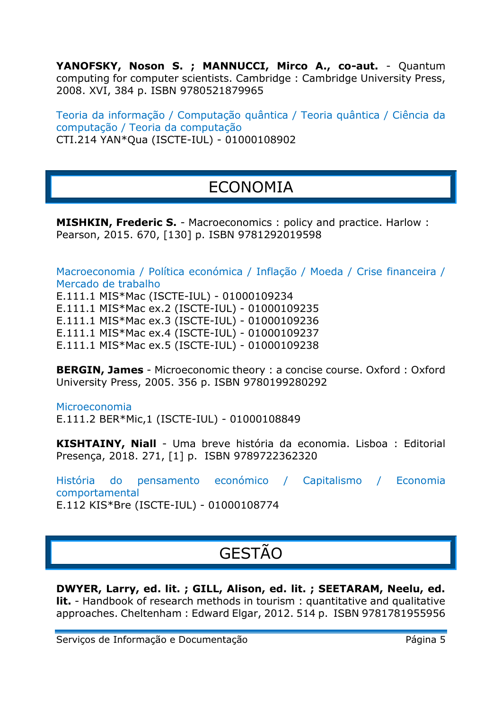**YANOFSKY, Noson S. ; MANNUCCI, Mirco A., co-aut.** - Quantum computing for computer scientists. Cambridge : Cambridge University Press, 2008. XVI, 384 p. ISBN 9780521879965

Teoria da informação / Computação quântica / Teoria quântica / Ciência da computação / Teoria da computação CTI.214 YAN\*Qua (ISCTE-IUL) - 01000108902

#### ECONOMIA

**MISHKIN, Frederic S.** - Macroeconomics : policy and practice. Harlow : Pearson, 2015. 670, [130] p. ISBN 9781292019598

Macroeconomia / Política económica / Inflação / Moeda / Crise financeira / Mercado de trabalho E.111.1 MIS\*Mac (ISCTE-IUL) - 01000109234 E.111.1 MIS\*Mac ex.2 (ISCTE-IUL) - 01000109235 E.111.1 MIS\*Mac ex.3 (ISCTE-IUL) - 01000109236 E.111.1 MIS\*Mac ex.4 (ISCTE-IUL) - 01000109237 E.111.1 MIS\*Mac ex.5 (ISCTE-IUL) - 01000109238

**BERGIN, James** - Microeconomic theory : a concise course. Oxford : Oxford University Press, 2005. 356 p. ISBN 9780199280292

Microeconomia E.111.2 BER\*Mic,1 (ISCTE-IUL) - 01000108849

**KISHTAINY, Niall** - Uma breve história da economia. Lisboa : Editorial Presença, 2018. 271, [1] p. ISBN 9789722362320

História do pensamento económico / Capitalismo / Economia comportamental E.112 KIS\*Bre (ISCTE-IUL) - 01000108774

### GESTÃO

**DWYER, Larry, ed. lit. ; GILL, Alison, ed. lit. ; SEETARAM, Neelu, ed. lit.** - Handbook of research methods in tourism: quantitative and qualitative approaches. Cheltenham : Edward Elgar, 2012. 514 p. ISBN 9781781955956

Serviços de Informação e Documentação e Antistadores e Página 5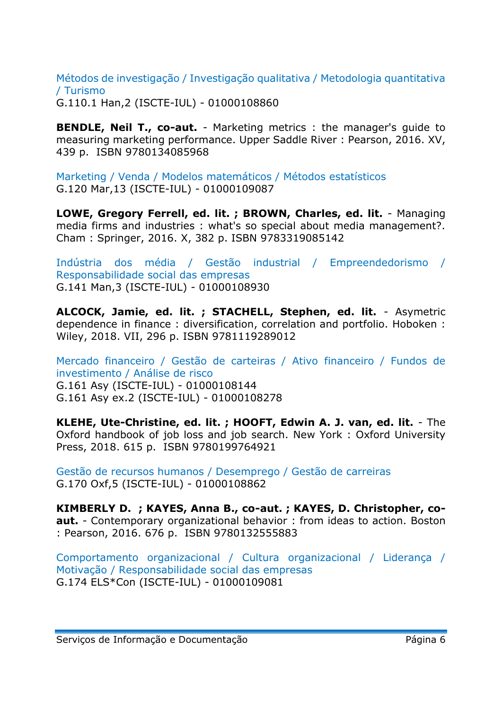Métodos de investigação / Investigação qualitativa / Metodologia quantitativa / Turismo

G.110.1 Han,2 (ISCTE-IUL) - 01000108860

**BENDLE, Neil T., co-aut.** - Marketing metrics : the manager's quide to measuring marketing performance. Upper Saddle River : Pearson, 2016. XV, 439 p. ISBN 9780134085968

Marketing / Venda / Modelos matemáticos / Métodos estatísticos G.120 Mar,13 (ISCTE-IUL) - 01000109087

**LOWE, Gregory Ferrell, ed. lit. ; BROWN, Charles, ed. lit.** - Managing media firms and industries : what's so special about media management?. Cham : Springer, 2016. X, 382 p. ISBN 9783319085142

Indústria dos média / Gestão industrial / Empreendedorismo / Responsabilidade social das empresas G.141 Man,3 (ISCTE-IUL) - 01000108930

**ALCOCK, Jamie, ed. lit. ; STACHELL, Stephen, ed. lit.** - Asymetric dependence in finance : diversification, correlation and portfolio. Hoboken : Wiley, 2018. VII, 296 p. ISBN 9781119289012

Mercado financeiro / Gestão de carteiras / Ativo financeiro / Fundos de investimento / Análise de risco G.161 Asy (ISCTE-IUL) - 01000108144 G.161 Asy ex.2 (ISCTE-IUL) - 01000108278

**KLEHE, Ute-Christine, ed. lit. ; HOOFT, Edwin A. J. van, ed. lit.** - The Oxford handbook of job loss and job search. New York : Oxford University Press, 2018. 615 p. ISBN 9780199764921

Gestão de recursos humanos / Desemprego / Gestão de carreiras G.170 Oxf,5 (ISCTE-IUL) - 01000108862

**KIMBERLY D. ; KAYES, Anna B., co-aut. ; KAYES, D. Christopher, coaut.** - Contemporary organizational behavior : from ideas to action. Boston : Pearson, 2016. 676 p. ISBN 9780132555883

Comportamento organizacional / Cultura organizacional / Liderança / Motivação / Responsabilidade social das empresas G.174 ELS\*Con (ISCTE-IUL) - 01000109081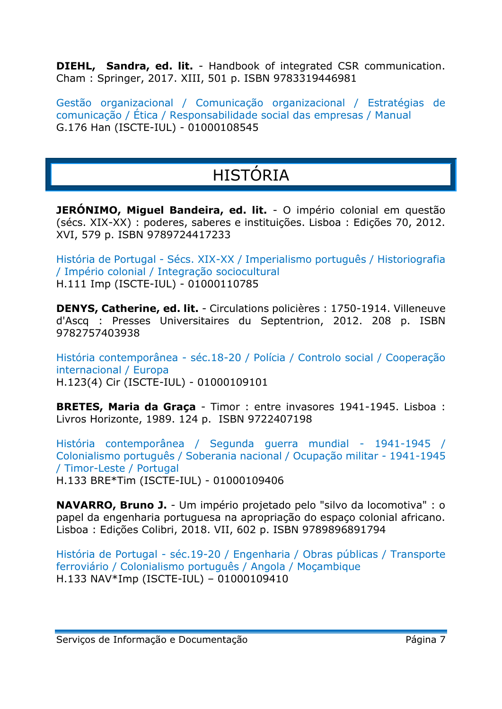**DIEHL, Sandra, ed. lit.** - Handbook of integrated CSR communication. Cham : Springer, 2017. XIII, 501 p. ISBN 9783319446981

Gestão organizacional / Comunicação organizacional / Estratégias de comunicação / Ética / Responsabilidade social das empresas / Manual G.176 Han (ISCTE-IUL) - 01000108545

# HISTÓRIA

**JERÓNIMO, Miguel Bandeira, ed. lit.** - O império colonial em questão (sécs. XIX-XX) : poderes, saberes e instituições. Lisboa : Edições 70, 2012. XVI, 579 p. ISBN 9789724417233

História de Portugal - Sécs. XIX-XX / Imperialismo português / Historiografia / Império colonial / Integração sociocultural H.111 Imp (ISCTE-IUL) - 01000110785

**DENYS, Catherine, ed. lit.** - Circulations policières : 1750-1914. Villeneuve d'Ascq : Presses Universitaires du Septentrion, 2012. 208 p. ISBN 9782757403938

História contemporânea - séc.18-20 / Polícia / Controlo social / Cooperação internacional / Europa H.123(4) Cir (ISCTE-IUL) - 01000109101

**BRETES, Maria da Graça** - Timor : entre invasores 1941-1945. Lisboa : Livros Horizonte, 1989. 124 p. ISBN 9722407198

História contemporânea / Segunda guerra mundial - 1941-1945 / Colonialismo português / Soberania nacional / Ocupação militar - 1941-1945 / Timor-Leste / Portugal H.133 BRE\*Tim (ISCTE-IUL) - 01000109406

**NAVARRO, Bruno J.** - Um império projetado pelo "silvo da locomotiva" : o papel da engenharia portuguesa na apropriação do espaço colonial africano. Lisboa : Edições Colibri, 2018. VII, 602 p. ISBN 9789896891794

História de Portugal - séc.19-20 / Engenharia / Obras públicas / Transporte ferroviário / Colonialismo português / Angola / Moçambique H.133 NAV\*Imp (ISCTE-IUL) – 01000109410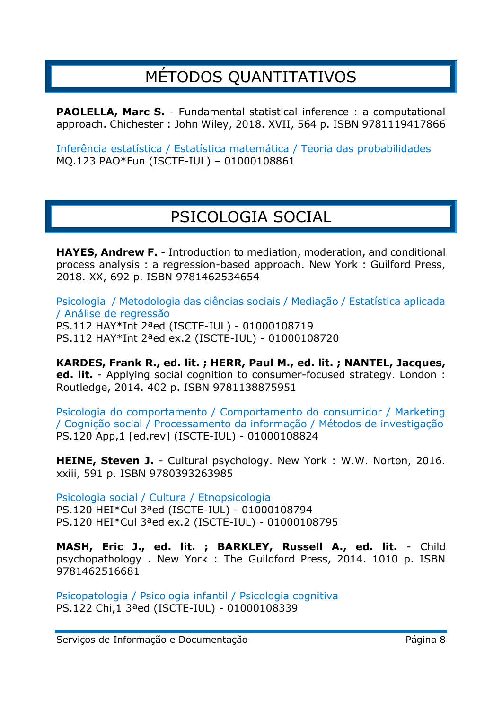#### MÉTODOS QUANTITATIVOS

**PAOLELLA, Marc S.** - Fundamental statistical inference : a computational approach. Chichester : John Wiley, 2018. XVII, 564 p. ISBN 9781119417866

Inferência estatística / Estatística matemática / Teoria das probabilidades MQ.123 PAO\*Fun (ISCTE-IUL) – 01000108861

#### PSICOLOGIA SOCIAL

**HAYES, Andrew F.** - Introduction to mediation, moderation, and conditional process analysis : a regression-based approach. New York : Guilford Press, 2018. XX, 692 p. ISBN 9781462534654

Psicologia / Metodologia das ciências sociais / Mediação / Estatística aplicada / Análise de regressão PS.112 HAY\*Int 2ªed (ISCTE-IUL) - 01000108719 PS.112 HAY\*Int 2ªed ex.2 (ISCTE-IUL) - 01000108720

**KARDES, Frank R., ed. lit. ; HERR, Paul M., ed. lit. ; NANTEL, Jacques, ed. lit.** - Applying social cognition to consumer-focused strategy. London : Routledge, 2014. 402 p. ISBN 9781138875951

Psicologia do comportamento / Comportamento do consumidor / Marketing / Cognição social / Processamento da informação / Métodos de investigação PS.120 App,1 [ed.rev] (ISCTE-IUL) - 01000108824

**HEINE, Steven J.** - Cultural psychology. New York : W.W. Norton, 2016. xxiii, 591 p. ISBN 9780393263985

Psicologia social / Cultura / Etnopsicologia PS.120 HEI\*Cul 3ªed (ISCTE-IUL) - 01000108794 PS.120 HEI\*Cul 3ªed ex.2 (ISCTE-IUL) - 01000108795

**MASH, Eric J., ed. lit. ; BARKLEY, Russell A., ed. lit.** - Child psychopathology . New York : The Guildford Press, 2014. 1010 p. ISBN 9781462516681

Psicopatologia / Psicologia infantil / Psicologia cognitiva PS.122 Chi,1 3ªed (ISCTE-IUL) - 01000108339